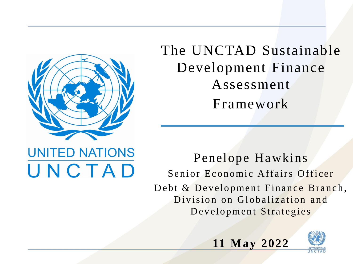

**UNITED NATIONS** 

UNCTAD

The UNCTAD Sustainable Development Finance Assessment Framework

### Penelope Hawkins Senior Economic Affairs Officer Debt & Development Finance Branch, Division on Globalization and Development Strategies

**11 May 2022**

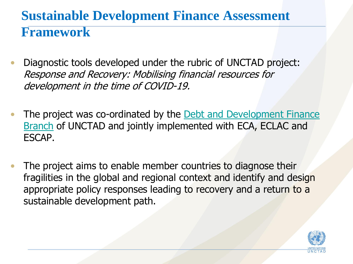# **Sustainable Development Finance Assessment Framework**

- Diagnostic tools developed under the rubric of UNCTAD project: Response and Recovery: Mobilising financial resources for development in the time of COVID-19.
- The project was co-ordinated by the Debt and Development Finance Branch of UNCTAD and jointly implemented with ECA, ECLAC and ESCAP.
- The project aims to enable member countries to diagnose their fragilities in the global and regional context and identify and design appropriate policy responses leading to recovery and a return to a sustainable development path.

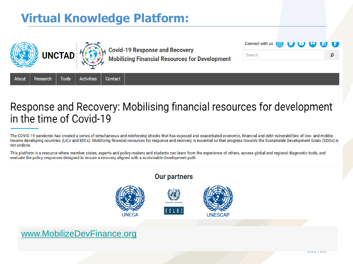## **Virtual Knowledge Platform:**





**Covid-19 Response and Recovery<br>Mobilizing Financial Resources for Development** 



Research **Tools Activities** Contact About

### Response and Recovery: Mobilising financial resources for development in the time of Covid-19

The COVID-19 pandemic has created a series of simultaneous and reinforcing shocks that has exposed and exacerbated economic, financial and debt vulnerabilities of low- and middleincome developing countries (LICs and MICs). Mobilizing financial resources for response and recovery is essential so that progress towards the Sustainable Development Goals (SDGs) is not undone.

This platform is a resource where member states, experts and policy-makers and students can learn from the experience of others, access global and regional diagnostic tools, and evaluate the policy responses designed to ensure a recovery aligned with a sustainable development path.

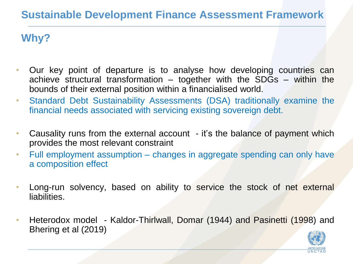### **Sustainable Development Finance Assessment Framework**

### **Why?**

- Our key point of departure is to analyse how developing countries can achieve structural transformation – together with the SDGs – within the bounds of their external position within a financialised world.
- Standard Debt Sustainability Assessments (DSA) traditionally examine the financial needs associated with servicing existing sovereign debt.
- Causality runs from the external account it's the balance of payment which provides the most relevant constraint
- Full employment assumption changes in aggregate spending can only have a composition effect
- Long-run solvency, based on ability to service the stock of net external liabilities.
- Heterodox model Kaldor-Thirlwall, Domar (1944) and Pasinetti (1998) and Bhering et al (2019)

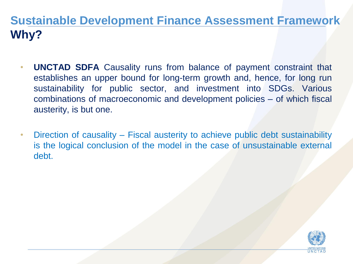## **Sustainable Development Finance Assessment Framework Why?**

- **UNCTAD SDFA** Causality runs from balance of payment constraint that establishes an upper bound for long-term growth and, hence, for long run sustainability for public sector, and investment into SDGs. Various combinations of macroeconomic and development policies – of which fiscal austerity, is but one.
- Direction of causality Fiscal austerity to achieve public debt sustainability is the logical conclusion of the model in the case of unsustainable external debt.

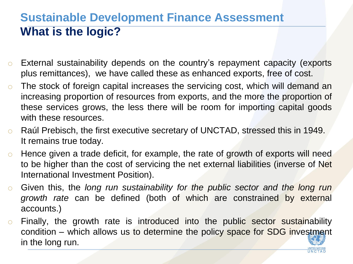## **Sustainable Development Finance Assessment What is the logic?**

- o External sustainability depends on the country's repayment capacity (exports plus remittances), we have called these as enhanced exports, free of cost.
- o The stock of foreign capital increases the servicing cost, which will demand an increasing proportion of resources from exports, and the more the proportion of these services grows, the less there will be room for importing capital goods with these resources.
- o Raúl Prebisch, the first executive secretary of UNCTAD, stressed this in 1949. It remains true today.
- $\circ$  Hence given a trade deficit, for example, the rate of growth of exports will need to be higher than the cost of servicing the net external liabilities (inverse of Net International Investment Position).
- o Given this, the *long run sustainability for the public sector and the long run growth rate* can be defined (both of which are constrained by external accounts.)
- o Finally, the growth rate is introduced into the public sector sustainability condition – which allows us to determine the policy space for SDG investment in the long run.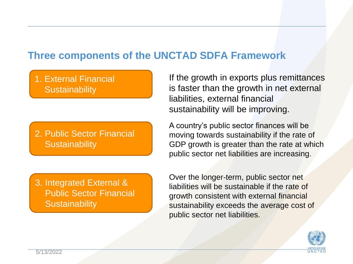#### **Three components of the UNCTAD SDFA Framework**

#### 1. External Financial **Sustainability**

2. Public Sector Financial **Sustainability** 

3. Integrated External & Public Sector Financial **Sustainability** 

If the growth in exports plus remittances is faster than the growth in net external liabilities, external financial sustainability will be improving.

A country's public sector finances will be moving towards sustainability if the rate of GDP growth is greater than the rate at which public sector net liabilities are increasing.

Over the longer-term, public sector net liabilities will be sustainable if the rate of growth consistent with external financial sustainability exceeds the average cost of public sector net liabilities.

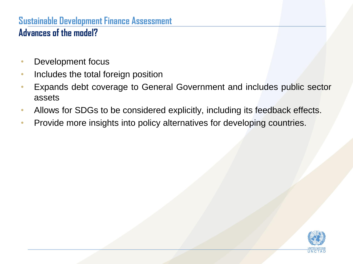#### **Sustainable Development Finance Assessment Advances of the model?**

- Development focus
- Includes the total foreign position
- Expands debt coverage to General Government and includes public sector assets
- Allows for SDGs to be considered explicitly, including its feedback effects.
- Provide more insights into policy alternatives for developing countries.

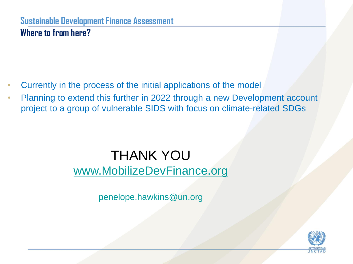#### **Sustainable Development Finance Assessment Where to from here?**

- Currently in the process of the initial applications of the model
- Planning to extend this further in 2022 through a new Development account project to a group of vulnerable SIDS with focus on climate-related SDGs

## THANK YOU [www.MobilizeDevFinance.org](http://www.mobilizedevfinance.org/)

[penelope.hawkins@un.org](mailto:penelope.hawkins@un.org)